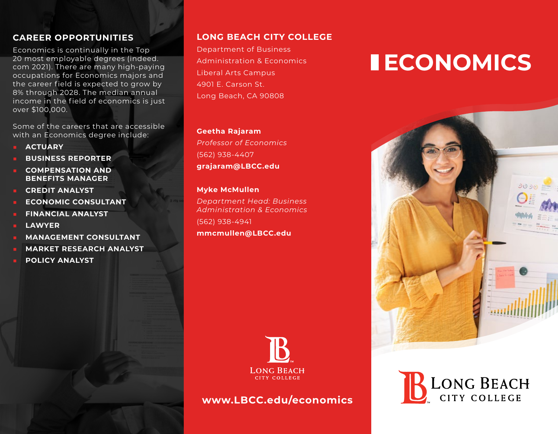## **CAREER OPPORTUNITIES**

Economics is continually in the Top 20 most employable degrees (indeed. com 2021). There are many high-paying occupations for Economics majors and the career field is expected to grow by 8% through 2028. The median annual income in the field of economics is just over \$100,000.

Some of the careers that are accessible with an Economics degree include:

- **■ ACTUARY**
- **■ BUSINESS REPORTER**
- **■ COMPENSATION AND BENEFITS MANAGER**
- **■ CREDIT ANALYST**
- **■ ECONOMIC CONSULTANT**
- **■ FINANCIAL ANALYST**
- **■ LAWYER**
- **■ MANAGEMENT CONSULTANT**
- **■ MARKET RESEARCH ANALYST**
- **■ POLICY ANALYST**

# **LONG BEACH CITY COLLEGE**

Department of Business Administration & Economics Liberal Arts Campus 4901 E. Carson St. Long Beach, CA 90808

#### **Geetha Rajaram**

*Professor of Economics* (562) 938-4407 **grajaram@LBCC.edu**

#### **Myke McMullen**

*Department Head: Business Administration & Economics* (562) 938-4941 **mmcmullen@LBCC.edu**



**www.LBCC.edu/economics**

# **ECONOMICS**